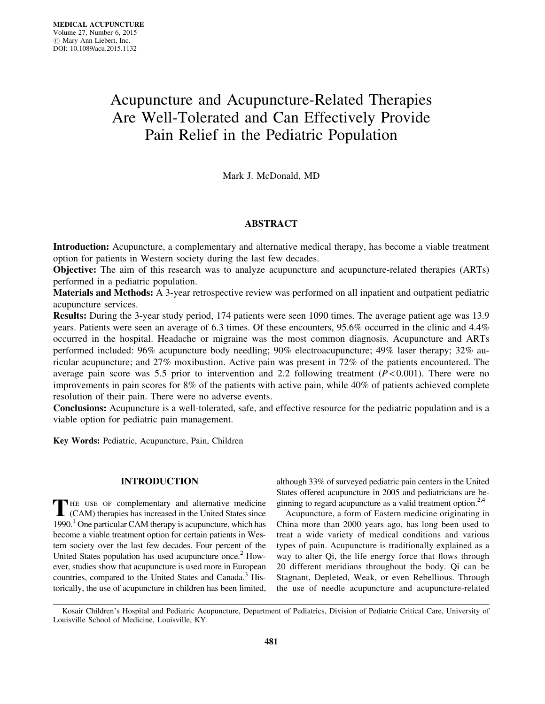# Acupuncture and Acupuncture-Related Therapies Are Well-Tolerated and Can Effectively Provide Pain Relief in the Pediatric Population

Mark J. McDonald, MD

# ABSTRACT

Introduction: Acupuncture, a complementary and alternative medical therapy, has become a viable treatment option for patients in Western society during the last few decades.

Objective: The aim of this research was to analyze acupuncture and acupuncture-related therapies (ARTs) performed in a pediatric population.

Materials and Methods: A 3-year retrospective review was performed on all inpatient and outpatient pediatric acupuncture services.

Results: During the 3-year study period, 174 patients were seen 1090 times. The average patient age was 13.9 years. Patients were seen an average of 6.3 times. Of these encounters, 95.6% occurred in the clinic and 4.4% occurred in the hospital. Headache or migraine was the most common diagnosis. Acupuncture and ARTs performed included: 96% acupuncture body needling; 90% electroacupuncture; 49% laser therapy; 32% auricular acupuncture; and 27% moxibustion. Active pain was present in 72% of the patients encountered. The average pain score was 5.5 prior to intervention and 2.2 following treatment  $(P< 0.001)$ . There were no improvements in pain scores for 8% of the patients with active pain, while 40% of patients achieved complete resolution of their pain. There were no adverse events.

Conclusions: Acupuncture is a well-tolerated, safe, and effective resource for the pediatric population and is a viable option for pediatric pain management.

Key Words: Pediatric, Acupuncture, Pain, Children

# INTRODUCTION

THE USE OF complementary and alternative medicine (CAM) therapies has increased in the United States since 1990.<sup>1</sup> One particular CAM therapy is acupuncture, which has become a viable treatment option for certain patients in Western society over the last few decades. Four percent of the United States population has used acupuncture once. $2$  However, studies show that acupuncture is used more in European countries, compared to the United States and Canada.<sup>3</sup> Historically, the use of acupuncture in children has been limited, although 33% of surveyed pediatric pain centers in the United States offered acupuncture in 2005 and pediatricians are beginning to regard acupuncture as a valid treatment option. $2.4$ 

Acupuncture, a form of Eastern medicine originating in China more than 2000 years ago, has long been used to treat a wide variety of medical conditions and various types of pain. Acupuncture is traditionally explained as a way to alter Qi, the life energy force that flows through 20 different meridians throughout the body. Qi can be Stagnant, Depleted, Weak, or even Rebellious. Through the use of needle acupuncture and acupuncture-related

Kosair Children's Hospital and Pediatric Acupuncture, Department of Pediatrics, Division of Pediatric Critical Care, University of Louisville School of Medicine, Louisville, KY.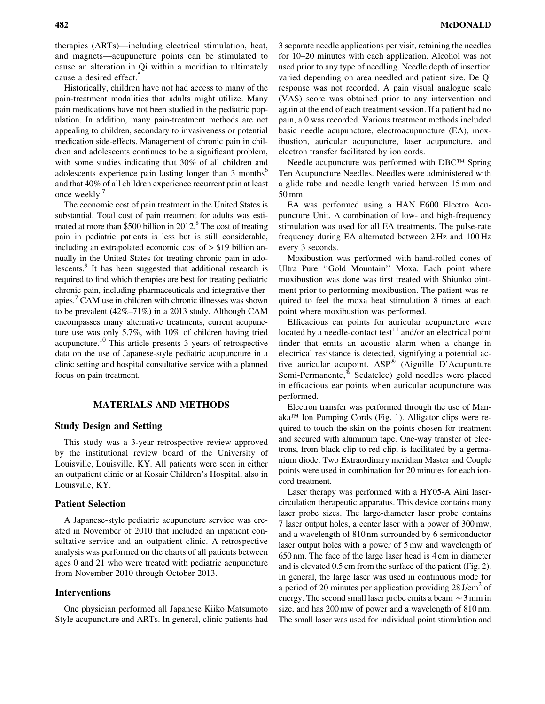therapies (ARTs)—including electrical stimulation, heat, and magnets—acupuncture points can be stimulated to cause an alteration in Qi within a meridian to ultimately cause a desired effect.<sup>5</sup>

Historically, children have not had access to many of the pain-treatment modalities that adults might utilize. Many pain medications have not been studied in the pediatric population. In addition, many pain-treatment methods are not appealing to children, secondary to invasiveness or potential medication side-effects. Management of chronic pain in children and adolescents continues to be a significant problem, with some studies indicating that 30% of all children and adolescents experience pain lasting longer than 3 months<sup>o</sup> and that 40% of all children experience recurrent pain at least once weekly.<sup>7</sup>

The economic cost of pain treatment in the United States is substantial. Total cost of pain treatment for adults was estimated at more than \$500 billion in 2012.<sup>8</sup> The cost of treating pain in pediatric patients is less but is still considerable, including an extrapolated economic cost of > \$19 billion annually in the United States for treating chronic pain in adolescents.<sup>9</sup> It has been suggested that additional research is required to find which therapies are best for treating pediatric chronic pain, including pharmaceuticals and integrative therapies.<sup>7</sup> CAM use in children with chronic illnesses was shown to be prevalent (42%–71%) in a 2013 study. Although CAM encompasses many alternative treatments, current acupuncture use was only 5.7%, with 10% of children having tried acupuncture.10 This article presents 3 years of retrospective data on the use of Japanese-style pediatric acupuncture in a clinic setting and hospital consultative service with a planned focus on pain treatment.

## MATERIALS AND METHODS

#### Study Design and Setting

This study was a 3-year retrospective review approved by the institutional review board of the University of Louisville, Louisville, KY. All patients were seen in either an outpatient clinic or at Kosair Children's Hospital, also in Louisville, KY.

#### Patient Selection

A Japanese-style pediatric acupuncture service was created in November of 2010 that included an inpatient consultative service and an outpatient clinic. A retrospective analysis was performed on the charts of all patients between ages 0 and 21 who were treated with pediatric acupuncture from November 2010 through October 2013.

### Interventions

One physician performed all Japanese Kiiko Matsumoto Style acupuncture and ARTs. In general, clinic patients had 3 separate needle applications per visit, retaining the needles for 10–20 minutes with each application. Alcohol was not used prior to any type of needling. Needle depth of insertion varied depending on area needled and patient size. De Qi response was not recorded. A pain visual analogue scale (VAS) score was obtained prior to any intervention and again at the end of each treatment session. If a patient had no pain, a 0 was recorded. Various treatment methods included basic needle acupuncture, electroacupuncture (EA), moxibustion, auricular acupuncture, laser acupuncture, and electron transfer facilitated by ion cords.

Needle acupuncture was performed with  $DBC^{TM}$  Spring Ten Acupuncture Needles. Needles were administered with a glide tube and needle length varied between 15 mm and 50 mm.

EA was performed using a HAN E600 Electro Acupuncture Unit. A combination of low- and high-frequency stimulation was used for all EA treatments. The pulse-rate frequency during EA alternated between 2 Hz and 100 Hz every 3 seconds.

Moxibustion was performed with hand-rolled cones of Ultra Pure ''Gold Mountain'' Moxa. Each point where moxibustion was done was first treated with Shiunko ointment prior to performing moxibustion. The patient was required to feel the moxa heat stimulation 8 times at each point where moxibustion was performed.

Efficacious ear points for auricular acupuncture were located by a needle-contact test<sup>11</sup> and/or an electrical point finder that emits an acoustic alarm when a change in electrical resistance is detected, signifying a potential active auricular acupoint.  $ASP^{\circledR}$  (Aiguille D'Acupunture Semi-Permanente," Sedatelec) gold needles were placed in efficacious ear points when auricular acupuncture was performed.

Electron transfer was performed through the use of Man $aka^{TM}$  Ion Pumping Cords (Fig. 1). Alligator clips were required to touch the skin on the points chosen for treatment and secured with aluminum tape. One-way transfer of electrons, from black clip to red clip, is facilitated by a germanium diode. Two Extraordinary meridian Master and Couple points were used in combination for 20 minutes for each ioncord treatment.

Laser therapy was performed with a HY05-A Aini lasercirculation therapeutic apparatus. This device contains many laser probe sizes. The large-diameter laser probe contains 7 laser output holes, a center laser with a power of 300 mw, and a wavelength of 810 nm surrounded by 6 semiconductor laser output holes with a power of 5 mw and wavelength of 650 nm. The face of the large laser head is 4 cm in diameter and is elevated 0.5 cm from the surface of the patient (Fig. 2). In general, the large laser was used in continuous mode for a period of 20 minutes per application providing  $28 \text{ J/cm}^2$  of energy. The second small laser probe emits a beam  $\sim$  3 mm in size, and has 200 mw of power and a wavelength of 810 nm. The small laser was used for individual point stimulation and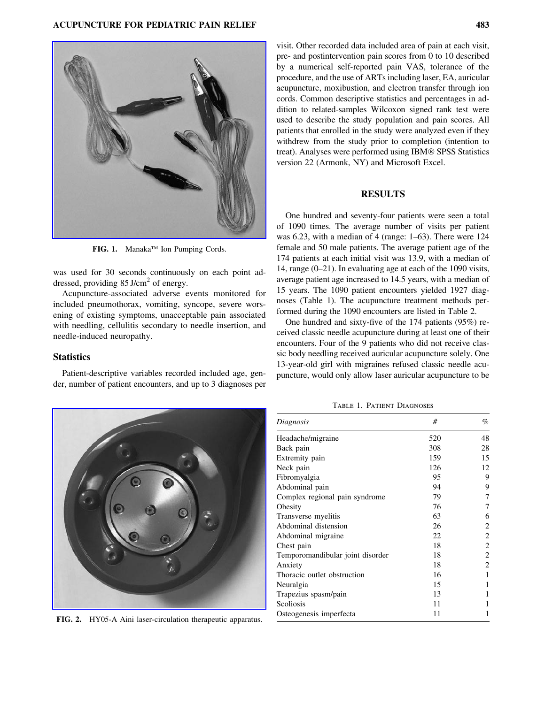

FIG. 1. Manaka™ Ion Pumping Cords.

was used for 30 seconds continuously on each point addressed, providing  $85$  J/cm<sup>2</sup> of energy.

Acupuncture-associated adverse events monitored for included pneumothorax, vomiting, syncope, severe worsening of existing symptoms, unacceptable pain associated with needling, cellulitis secondary to needle insertion, and needle-induced neuropathy.

# **Statistics**

Patient-descriptive variables recorded included age, gender, number of patient encounters, and up to 3 diagnoses per

visit. Other recorded data included area of pain at each visit, pre- and postintervention pain scores from 0 to 10 described by a numerical self-reported pain VAS, tolerance of the procedure, and the use of ARTs including laser, EA, auricular acupuncture, moxibustion, and electron transfer through ion cords. Common descriptive statistics and percentages in addition to related-samples Wilcoxon signed rank test were used to describe the study population and pain scores. All patients that enrolled in the study were analyzed even if they withdrew from the study prior to completion (intention to treat). Analyses were performed using IBM® SPSS Statistics version 22 (Armonk, NY) and Microsoft Excel.

#### RESULTS

One hundred and seventy-four patients were seen a total of 1090 times. The average number of visits per patient was 6.23, with a median of 4 (range: 1–63). There were 124 female and 50 male patients. The average patient age of the 174 patients at each initial visit was 13.9, with a median of 14, range (0–21). In evaluating age at each of the 1090 visits, average patient age increased to 14.5 years, with a median of 15 years. The 1090 patient encounters yielded 1927 diagnoses (Table 1). The acupuncture treatment methods performed during the 1090 encounters are listed in Table 2.

One hundred and sixty-five of the 174 patients (95%) received classic needle acupuncture during at least one of their encounters. Four of the 9 patients who did not receive classic body needling received auricular acupuncture solely. One 13-year-old girl with migraines refused classic needle acupuncture, would only allow laser auricular acupuncture to be



FIG. 2. HY05-A Aini laser-circulation therapeutic apparatus.

Table 1. Patient Diagnoses

| Diagnosis                        | #   | $\%$<br>48 |  |
|----------------------------------|-----|------------|--|
| Headache/migraine                | 520 |            |  |
| Back pain                        | 308 | 28         |  |
| Extremity pain                   | 159 | 15         |  |
| Neck pain                        | 126 | 12         |  |
| Fibromyalgia                     | 95  | 9          |  |
| Abdominal pain                   | 94  | 9          |  |
| Complex regional pain syndrome   | 79  | 7          |  |
| Obesity                          | 76  | 7          |  |
| Transverse myelitis              | 63  | 6          |  |
| Abdominal distension             | 26  | 2          |  |
| Abdominal migraine               | 22  | 2          |  |
| Chest pain                       | 18  | 2          |  |
| Temporomandibular joint disorder | 18  | 2          |  |
| Anxiety                          | 18  | 2          |  |
| Thoracic outlet obstruction      | 16  | 1          |  |
| Neuralgia                        | 15  | 1          |  |
| Trapezius spasm/pain             | 13  | 1          |  |
| Scoliosis                        | 11  | 1          |  |
| Osteogenesis imperfecta          | 11  | 1          |  |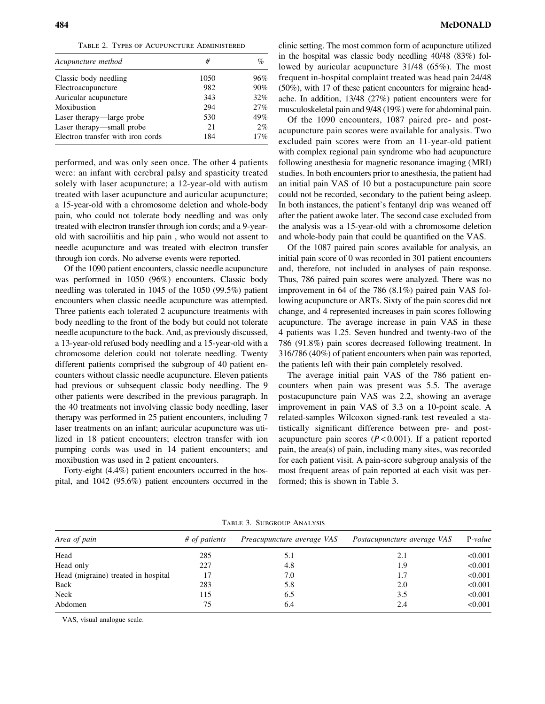Table 2. Types of Acupuncture Administered

| Acupuncture method                | #    | $\%$<br>96% |  |
|-----------------------------------|------|-------------|--|
| Classic body needling             | 1050 |             |  |
| Electroacupuncture                | 982  | 90%         |  |
| Auricular acupuncture             | 343  | 32%         |  |
| Moxibustion                       | 294  | 27%         |  |
| Laser therapy—large probe         | 530  | 49%         |  |
| Laser therapy—small probe         | 21   | 2%          |  |
| Electron transfer with iron cords | 184  | 17%         |  |

performed, and was only seen once. The other 4 patients were: an infant with cerebral palsy and spasticity treated solely with laser acupuncture; a 12-year-old with autism treated with laser acupuncture and auricular acupuncture; a 15-year-old with a chromosome deletion and whole-body pain, who could not tolerate body needling and was only treated with electron transfer through ion cords; and a 9-yearold with sacroiliitis and hip pain , who would not assent to needle acupuncture and was treated with electron transfer through ion cords. No adverse events were reported.

Of the 1090 patient encounters, classic needle acupuncture was performed in 1050 (96%) encounters. Classic body needling was tolerated in 1045 of the 1050 (99.5%) patient encounters when classic needle acupuncture was attempted. Three patients each tolerated 2 acupuncture treatments with body needling to the front of the body but could not tolerate needle acupuncture to the back. And, as previously discussed, a 13-year-old refused body needling and a 15-year-old with a chromosome deletion could not tolerate needling. Twenty different patients comprised the subgroup of 40 patient encounters without classic needle acupuncture. Eleven patients had previous or subsequent classic body needling. The 9 other patients were described in the previous paragraph. In the 40 treatments not involving classic body needling, laser therapy was performed in 25 patient encounters, including 7 laser treatments on an infant; auricular acupuncture was utilized in 18 patient encounters; electron transfer with ion pumping cords was used in 14 patient encounters; and moxibustion was used in 2 patient encounters.

Forty-eight (4.4%) patient encounters occurred in the hospital, and 1042 (95.6%) patient encounters occurred in the

Of the 1090 encounters, 1087 paired pre- and postacupuncture pain scores were available for analysis. Two excluded pain scores were from an 11-year-old patient with complex regional pain syndrome who had acupuncture following anesthesia for magnetic resonance imaging (MRI) studies. In both encounters prior to anesthesia, the patient had an initial pain VAS of 10 but a postacupuncture pain score could not be recorded, secondary to the patient being asleep. In both instances, the patient's fentanyl drip was weaned off after the patient awoke later. The second case excluded from the analysis was a 15-year-old with a chromosome deletion and whole-body pain that could be quantified on the VAS.

Of the 1087 paired pain scores available for analysis, an initial pain score of 0 was recorded in 301 patient encounters and, therefore, not included in analyses of pain response. Thus, 786 paired pain scores were analyzed. There was no improvement in 64 of the 786 (8.1%) paired pain VAS following acupuncture or ARTs. Sixty of the pain scores did not change, and 4 represented increases in pain scores following acupuncture. The average increase in pain VAS in these 4 patients was 1.25. Seven hundred and twenty-two of the 786 (91.8%) pain scores decreased following treatment. In 316/786 (40%) of patient encounters when pain was reported, the patients left with their pain completely resolved.

The average initial pain VAS of the 786 patient encounters when pain was present was 5.5. The average postacupuncture pain VAS was 2.2, showing an average improvement in pain VAS of 3.3 on a 10-point scale. A related-samples Wilcoxon signed-rank test revealed a statistically significant difference between pre- and postacupuncture pain scores  $(P < 0.001)$ . If a patient reported pain, the area(s) of pain, including many sites, was recorded for each patient visit. A pain-score subgroup analysis of the most frequent areas of pain reported at each visit was performed; this is shown in Table 3.

| Area of pain                        | # of patients | Preacupuncture average VAS | Postacupuncture average VAS | $P-value$ |
|-------------------------------------|---------------|----------------------------|-----------------------------|-----------|
| Head                                | 285           | 5.1                        | 2.1                         | < 0.001   |
| Head only                           | 227           | 4.8                        | 1.9                         | < 0.001   |
| Head (migraine) treated in hospital | 17            | 7.0                        | 1.7                         | < 0.001   |
| Back                                | 283           | 5.8                        | 2.0                         | < 0.001   |
| Neck                                | 115           | 6.5                        | 3.5                         | < 0.001   |
| Abdomen                             | 75            | 6.4                        | 2.4                         | < 0.001   |

Table 3. Subgroup Analysis

VAS, visual analogue scale.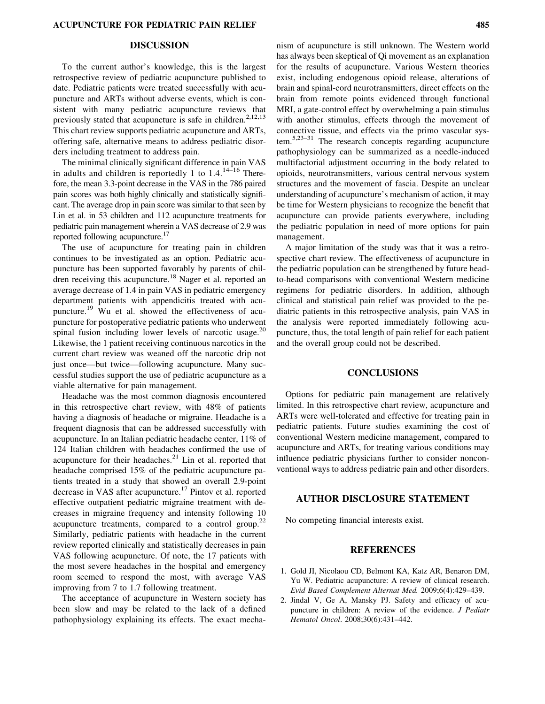# DISCUSSION

To the current author's knowledge, this is the largest retrospective review of pediatric acupuncture published to date. Pediatric patients were treated successfully with acupuncture and ARTs without adverse events, which is consistent with many pediatric acupuncture reviews that previously stated that acupuncture is safe in children.<sup>2,12,13</sup> This chart review supports pediatric acupuncture and ARTs, offering safe, alternative means to address pediatric disorders including treatment to address pain.

The minimal clinically significant difference in pain VAS in adults and children is reportedly 1 to  $1.4^{14-16}$  Therefore, the mean 3.3-point decrease in the VAS in the 786 paired pain scores was both highly clinically and statistically significant. The average drop in pain score was similar to that seen by Lin et al. in 53 children and 112 acupuncture treatments for pediatric pain management wherein a VAS decrease of 2.9 was reported following acupuncture.<sup>17</sup>

The use of acupuncture for treating pain in children continues to be investigated as an option. Pediatric acupuncture has been supported favorably by parents of children receiving this acupuncture.<sup>18</sup> Nager et al. reported an average decrease of 1.4 in pain VAS in pediatric emergency department patients with appendicitis treated with acupuncture.<sup>19</sup> Wu et al. showed the effectiveness of acupuncture for postoperative pediatric patients who underwent spinal fusion including lower levels of narcotic usage.<sup>20</sup> Likewise, the 1 patient receiving continuous narcotics in the current chart review was weaned off the narcotic drip not just once—but twice—following acupuncture. Many successful studies support the use of pediatric acupuncture as a viable alternative for pain management.

Headache was the most common diagnosis encountered in this retrospective chart review, with 48% of patients having a diagnosis of headache or migraine. Headache is a frequent diagnosis that can be addressed successfully with acupuncture. In an Italian pediatric headache center, 11% of 124 Italian children with headaches confirmed the use of acupuncture for their headaches.<sup>21</sup> Lin et al. reported that headache comprised 15% of the pediatric acupuncture patients treated in a study that showed an overall 2.9-point decrease in VAS after acupuncture.<sup>17</sup> Pintov et al. reported effective outpatient pediatric migraine treatment with decreases in migraine frequency and intensity following 10 acupuncture treatments, compared to a control group.<sup>22</sup> Similarly, pediatric patients with headache in the current review reported clinically and statistically decreases in pain VAS following acupuncture. Of note, the 17 patients with the most severe headaches in the hospital and emergency room seemed to respond the most, with average VAS improving from 7 to 1.7 following treatment.

The acceptance of acupuncture in Western society has been slow and may be related to the lack of a defined pathophysiology explaining its effects. The exact mechanism of acupuncture is still unknown. The Western world has always been skeptical of Qi movement as an explanation for the results of acupuncture. Various Western theories exist, including endogenous opioid release, alterations of brain and spinal-cord neurotransmitters, direct effects on the brain from remote points evidenced through functional MRI, a gate-control effect by overwhelming a pain stimulus with another stimulus, effects through the movement of connective tissue, and effects via the primo vascular system.5,23–31 The research concepts regarding acupuncture pathophysiology can be summarized as a needle-induced multifactorial adjustment occurring in the body related to opioids, neurotransmitters, various central nervous system structures and the movement of fascia. Despite an unclear understanding of acupuncture's mechanism of action, it may be time for Western physicians to recognize the benefit that acupuncture can provide patients everywhere, including the pediatric population in need of more options for pain management.

A major limitation of the study was that it was a retrospective chart review. The effectiveness of acupuncture in the pediatric population can be strengthened by future headto-head comparisons with conventional Western medicine regimens for pediatric disorders. In addition, although clinical and statistical pain relief was provided to the pediatric patients in this retrospective analysis, pain VAS in the analysis were reported immediately following acupuncture, thus, the total length of pain relief for each patient and the overall group could not be described.

#### CONCLUSIONS

Options for pediatric pain management are relatively limited. In this retrospective chart review, acupuncture and ARTs were well-tolerated and effective for treating pain in pediatric patients. Future studies examining the cost of conventional Western medicine management, compared to acupuncture and ARTs, for treating various conditions may influence pediatric physicians further to consider nonconventional ways to address pediatric pain and other disorders.

# AUTHOR DISCLOSURE STATEMENT

No competing financial interests exist.

#### REFERENCES

- 1. Gold JI, Nicolaou CD, Belmont KA, Katz AR, Benaron DM, Yu W. Pediatric acupuncture: A review of clinical research. [Evid Based Complement Alternat Med.](http://online.liebertpub.com/action/showLinks?pmid=18955306&crossref=10.1093%2Fecam%2Fnem181) 2009;6(4):429–439.
- 2. Jindal V, Ge A, Mansky PJ. Safety and efficacy of acupuncture in children: A review of the evidence. [J Pediatr](http://online.liebertpub.com/action/showLinks?pmid=18525459&crossref=10.1097%2FMPH.0b013e318165b2cc) [Hematol Oncol](http://online.liebertpub.com/action/showLinks?pmid=18525459&crossref=10.1097%2FMPH.0b013e318165b2cc). 2008;30(6):431–442.